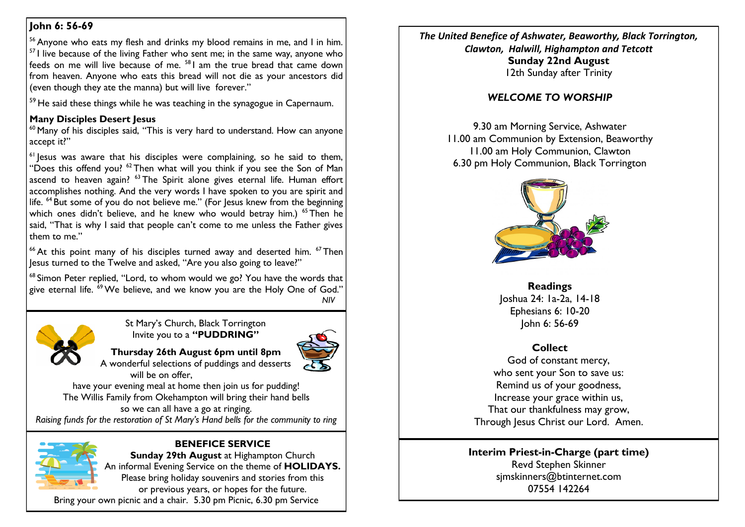## **John 6: 56-69**

<sup>56</sup> Anyone who eats my flesh and drinks my blood remains in me, and I in him.  $57$  I live because of the living Father who sent me; in the same way, anyone who feeds on me will live because of me. <sup>58</sup> I am the true bread that came down from heaven. Anyone who eats this bread will not die as your ancestors did (even though they ate the manna) but will live forever."

<sup>59</sup> He said these things while he was teaching in the synagogue in Capernaum.

### **Many Disciples Desert Jesus**

 $60$  Many of his disciples said, "This is very hard to understand. How can anyone accept it?"

<sup>61</sup> lesus was aware that his disciples were complaining, so he said to them, "Does this offend you?  $62$  Then what will you think if you see the Son of Man ascend to heaven again? <sup>63</sup> The Spirit alone gives eternal life. Human effort accomplishes nothing. And the very words I have spoken to you are spirit and life. <sup>64</sup> But some of you do not believe me." (For lesus knew from the beginning which ones didn't believe, and he knew who would betray him.) <sup>65</sup> Then he said, "That is why I said that people can't come to me unless the Father gives them to me."

<sup>66</sup> At this point many of his disciples turned away and deserted him.  $67$  Then Jesus turned to the Twelve and asked, "Are you also going to leave?"

<sup>68</sup> Simon Peter replied, "Lord, to whom would we go? You have the words that give eternal life. <sup>69</sup> We believe, and we know you are the Holy One of God." *NIV*



St Mary's Church, Black Torrington Invite you to a **"PUDDRING"**



**Thursday 26th August 6pm until 8pm** A wonderful selections of puddings and desserts will be on offer,

have your evening meal at home then join us for pudding! The Willis Family from Okehampton will bring their hand bells so we can all have a go at ringing.

*Raising funds for the restoration of St Mary's Hand bells for the community to ring*



## **BENEFICE SERVICE**

**Sunday 29th August at Highampton Church** An informal Evening Service on the theme of **HOLIDAYS.** Please bring holiday souvenirs and stories from this or previous years, or hopes for the future.

Bring your own picnic and a chair. 5.30 pm Picnic, 6.30 pm Service

*The United Benefice of Ashwater, Beaworthy, Black Torrington, Clawton, Halwill, Highampton and Tetcott* **Sunday 22nd August** 12th Sunday after Trinity

# *WELCOME TO WORSHIP*

9.30 am Morning Service, Ashwater 11.00 am Communion by Extension, Beaworthy 11.00 am Holy Communion, Clawton 6.30 pm Holy Communion, Black Torrington



**Readings** Joshua 24: 1a-2a, 14-18 Ephesians 6: 10-20 John 6: 56-69

# **Collect**

God of constant mercy, who sent your Son to save us: Remind us of your goodness, Increase your grace within us, That our thankfulness may grow, Through Jesus Christ our Lord. Amen.

#### **Interim Priest-in-Charge (part time)** Revd Stephen Skinner [sjmskinners@btinternet.com](mailto:sjmskinners@btinternet.com) 07554 142264